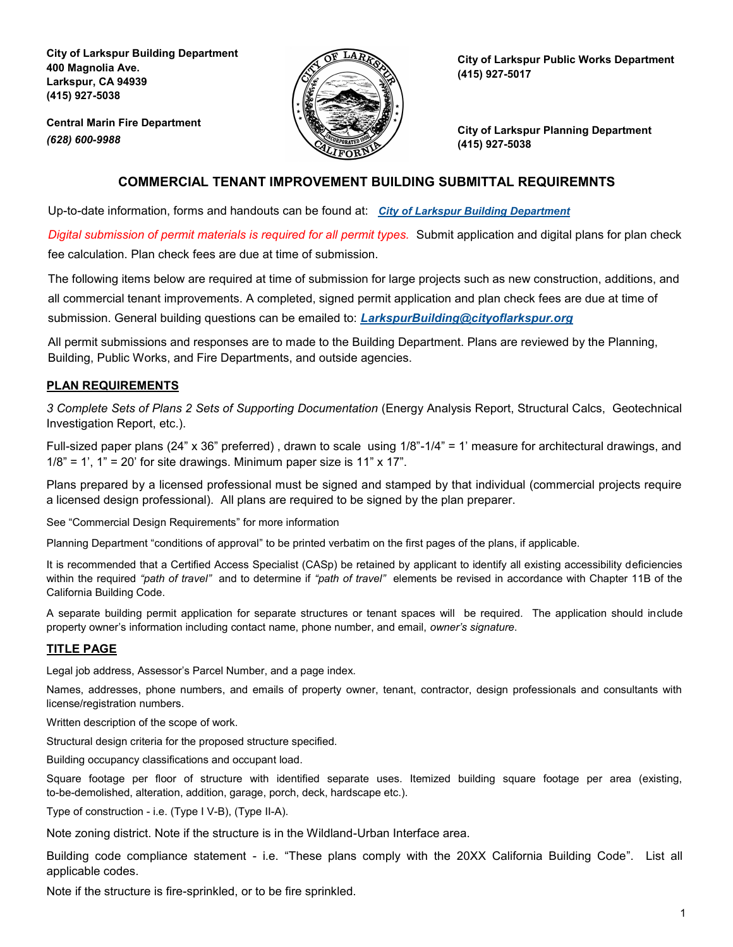**City of Larkspur Building Department 400 Magnolia Ave. Larkspur, CA 94939 (415) 927-5038**

**Central Marin Fire Department**

*(628) 600-9988* 



**City of Larkspur Public Works Department (415) 927-5017**

**City of Larkspur Planning Department (415) 927-5038**

# **COMMERCIAL TENANT IMPROVEMENT BUILDING SUBMITTAL REQUIREMNTS**

Up-to-date information, forms and handouts can be found at: *[City of Larkspur Building Department](https://www.ci.larkspur.ca.us/91/Building)*

*Digital submission of permit materials is required for all permit types.* Submit application and digital plans for plan check fee calculation. Plan check fees are due at time of submission.

The following items below are required at time of submission for large projects such as new construction, additions, and all commercial tenant improvements. A completed, signed permit application and plan check fees are due at time of submission. General building questions can be emailed to: *[LarkspurBuilding@cityoflarkspur.org](mailto:LarkspurBuilding@cityoflarkspur.org)*

All permit submissions and responses are to made to the Building Department. Plans are reviewed by the Planning, Building, Public Works, and Fire Departments, and outside agencies.

# **PLAN REQUIREMENTS**

*3 Complete Sets of Plans 2 Sets of Supporting Documentation* (Energy Analysis Report, Structural Calcs, Geotechnical Investigation Report, etc.).

Full-sized paper plans (24" x 36" preferred) , drawn to scale using 1/8"-1/4" = 1' measure for architectural drawings, and  $1/8$ " = 1', 1" = 20' for site drawings. Minimum paper size is 11" x 17".

Plans prepared by a licensed professional must be signed and stamped by that individual (commercial projects require a licensed design professional). All plans are required to be signed by the plan preparer.

See "Commercial Design Requirements" for more information

Planning Department "conditions of approval" to be printed verbatim on the first pages of the plans, if applicable.

It is recommended that a Certified Access Specialist (CASp) be retained by applicant to identify all existing accessibility deficiencies within the required *"path of travel"* and to determine if *"path of travel"* elements be revised in accordance with Chapter 11B of the California Building Code.

A separate building permit application for separate structures or tenant spaces will be required. The application should include property owner's information including contact name, phone number, and email, *owner's signature*.

# **TITLE PAGE**

Legal job address, Assessor's Parcel Number, and a page index.

Names, addresses, phone numbers, and emails of property owner, tenant, contractor, design professionals and consultants with license/registration numbers.

Written description of the scope of work.

Structural design criteria for the proposed structure specified.

Building occupancy classifications and occupant load.

Square footage per floor of structure with identified separate uses. Itemized building square footage per area (existing, to-be-demolished, alteration, addition, garage, porch, deck, hardscape etc.).

Type of construction - i.e. (Type I V-B), (Type II-A).

Note zoning district. Note if the structure is in the Wildland-Urban Interface area.

Building code compliance statement - i.e. "These plans comply with the 20XX California Building Code". List all applicable codes.

Note if the structure is fire-sprinkled, or to be fire sprinkled.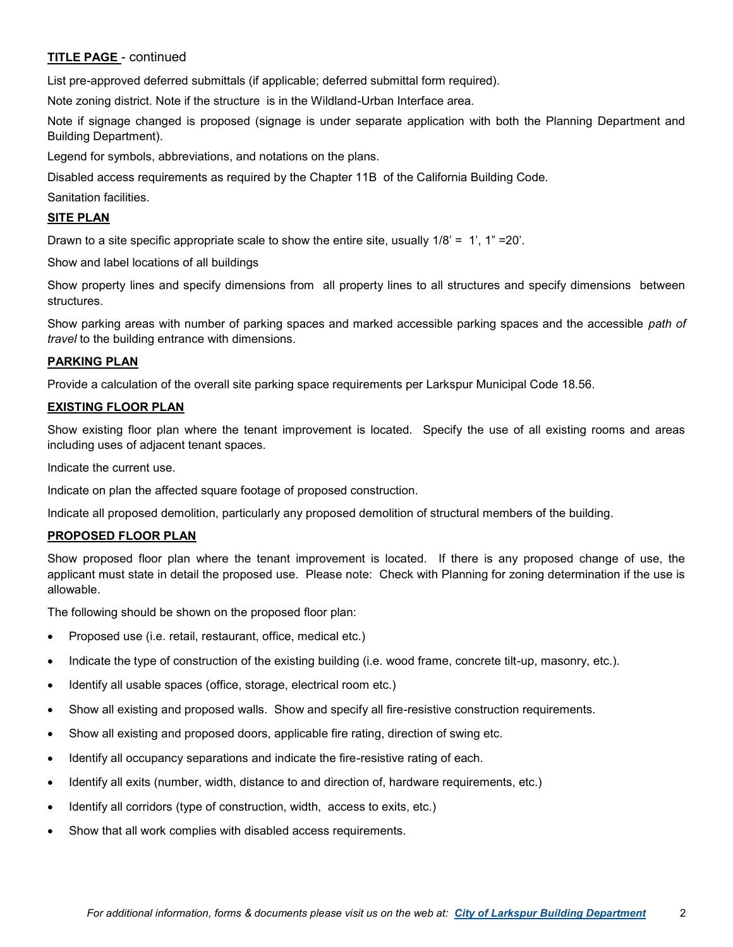### **TITLE PAGE** - continued

List pre-approved deferred submittals (if applicable; deferred submittal form required).

Note zoning district. Note if the structure is in the Wildland-Urban Interface area.

Note if signage changed is proposed (signage is under separate application with both the Planning Department and Building Department).

Legend for symbols, abbreviations, and notations on the plans.

Disabled access requirements as required by the Chapter 11B of the California Building Code.

Sanitation facilities.

## **SITE PLAN**

Drawn to a site specific appropriate scale to show the entire site, usually  $1/8$ ' = 1', 1" = 20'.

Show and label locations of all buildings

Show property lines and specify dimensions from all property lines to all structures and specify dimensions between **structures** 

Show parking areas with number of parking spaces and marked accessible parking spaces and the accessible *path of travel* to the building entrance with dimensions.

#### **PARKING PLAN**

Provide a calculation of the overall site parking space requirements per Larkspur Municipal Code 18.56.

#### **EXISTING FLOOR PLAN**

Show existing floor plan where the tenant improvement is located. Specify the use of all existing rooms and areas including uses of adjacent tenant spaces.

Indicate the current use.

Indicate on plan the affected square footage of proposed construction.

Indicate all proposed demolition, particularly any proposed demolition of structural members of the building.

#### **PROPOSED FLOOR PLAN**

Show proposed floor plan where the tenant improvement is located. If there is any proposed change of use, the applicant must state in detail the proposed use. Please note: Check with Planning for zoning determination if the use is allowable.

The following should be shown on the proposed floor plan:

- Proposed use (i.e. retail, restaurant, office, medical etc.)
- Indicate the type of construction of the existing building (i.e. wood frame, concrete tilt-up, masonry, etc.).
- Identify all usable spaces (office, storage, electrical room etc.)
- Show all existing and proposed walls. Show and specify all fire-resistive construction requirements.
- Show all existing and proposed doors, applicable fire rating, direction of swing etc.
- Identify all occupancy separations and indicate the fire-resistive rating of each.
- Identify all exits (number, width, distance to and direction of, hardware requirements, etc.)
- Identify all corridors (type of construction, width, access to exits, etc.)
- Show that all work complies with disabled access requirements.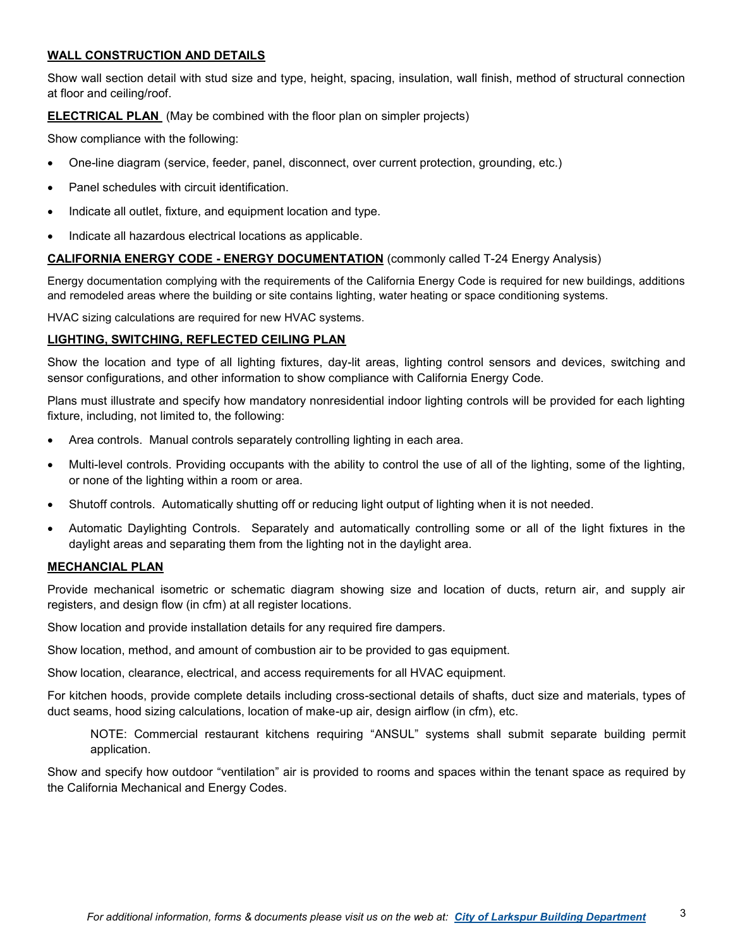## **WALL CONSTRUCTION AND DETAILS**

Show wall section detail with stud size and type, height, spacing, insulation, wall finish, method of structural connection at floor and ceiling/roof.

### **ELECTRICAL PLAN** (May be combined with the floor plan on simpler projects)

Show compliance with the following:

- One-line diagram (service, feeder, panel, disconnect, over current protection, grounding, etc.)
- Panel schedules with circuit identification.
- Indicate all outlet, fixture, and equipment location and type.
- Indicate all hazardous electrical locations as applicable.

#### **CALIFORNIA ENERGY CODE - ENERGY DOCUMENTATION** (commonly called T-24 Energy Analysis)

Energy documentation complying with the requirements of the California Energy Code is required for new buildings, additions and remodeled areas where the building or site contains lighting, water heating or space conditioning systems.

HVAC sizing calculations are required for new HVAC systems.

#### **LIGHTING, SWITCHING, REFLECTED CEILING PLAN**

Show the location and type of all lighting fixtures, day-lit areas, lighting control sensors and devices, switching and sensor configurations, and other information to show compliance with California Energy Code.

Plans must illustrate and specify how mandatory nonresidential indoor lighting controls will be provided for each lighting fixture, including, not limited to, the following:

- Area controls. Manual controls separately controlling lighting in each area.
- Multi-level controls. Providing occupants with the ability to control the use of all of the lighting, some of the lighting, or none of the lighting within a room or area.
- Shutoff controls. Automatically shutting off or reducing light output of lighting when it is not needed.
- Automatic Daylighting Controls. Separately and automatically controlling some or all of the light fixtures in the daylight areas and separating them from the lighting not in the daylight area.

### **MECHANCIAL PLAN**

Provide mechanical isometric or schematic diagram showing size and location of ducts, return air, and supply air registers, and design flow (in cfm) at all register locations.

Show location and provide installation details for any required fire dampers.

Show location, method, and amount of combustion air to be provided to gas equipment.

Show location, clearance, electrical, and access requirements for all HVAC equipment.

For kitchen hoods, provide complete details including cross-sectional details of shafts, duct size and materials, types of duct seams, hood sizing calculations, location of make-up air, design airflow (in cfm), etc.

NOTE: Commercial restaurant kitchens requiring "ANSUL" systems shall submit separate building permit application.

Show and specify how outdoor "ventilation" air is provided to rooms and spaces within the tenant space as required by the California Mechanical and Energy Codes.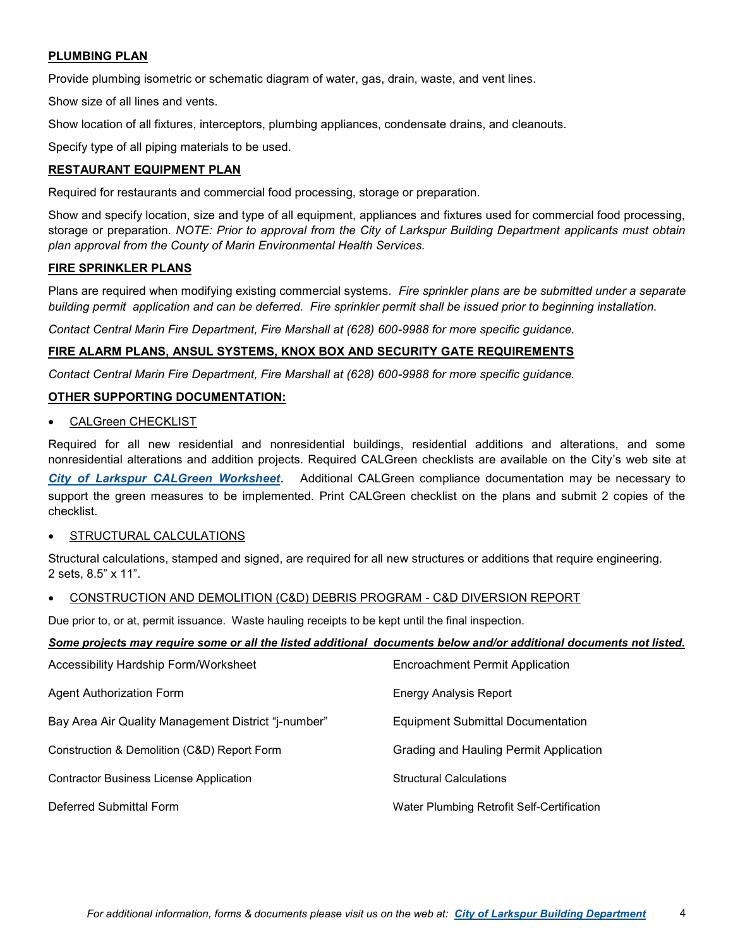# **PLUMBING PLAN**

Provide plumbing isometric or schematic diagram of water, gas, drain, waste, and vent lines.

Show size of all lines and vents.

Show location of all fixtures, interceptors, plumbing appliances, condensate drains, and cleanouts.

Specify type of all piping materials to be used.

### **RESTAURANT EQUIPMENT PLAN**

Required for restaurants and commercial food processing, storage or preparation.

Show and specify location, size and type of all equipment, appliances and fixtures used for commercial food processing, storage or preparation. *NOTE: Prior to approval from the City of Larkspur Building Department applicants must obtain plan approval from the County of Marin Environmental Health Services.*

#### **FIRE SPRINKLER PLANS**

Plans are required when modifying existing commercial systems. *Fire sprinkler plans are be submitted under a separate building permit application and can be deferred. Fire sprinkler permit shall be issued prior to beginning installation.*

*Contact Central Marin Fire Department, Fire Marshall at (628) 600-9988 for more specific guidance.*

### **FIRE ALARM PLANS, ANSUL SYSTEMS, KNOX BOX AND SECURITY GATE REQUIREMENTS**

*Contact Central Marin Fire Department, Fire Marshall at (628) 600-9988 for more specific guidance.*

### **OTHER SUPPORTING DOCUMENTATION:**

CALGreen CHECKLIST

Required for all new residential and nonresidential buildings, residential additions and alterations, and some nonresidential alterations and addition projects. Required CALGreen checklists are available on the City's web site at *[City of Larkspur CALGreen Worksheet](http://www.ci.larkspur.ca.us/index.aspx?NID=559)*. Additional CALGreen compliance documentation may be necessary to support the green measures to be implemented. Print CALGreen checklist on the plans and submit 2 copies of the checklist.

### STRUCTURAL CALCULATIONS

Structural calculations, stamped and signed, are required for all new structures or additions that require engineering. 2 sets, 8.5" x 11".

#### • CONSTRUCTION AND DEMOLITION (C&D) DEBRIS PROGRAM - C&D DIVERSION REPORT

Due prior to, or at, permit issuance. Waste hauling receipts to be kept until the final inspection.

#### *Some projects may require some or all the listed additional documents below and/or additional documents not listed.*

| Accessibility Hardship Form/Worksheet               | <b>Encroachment Permit Application</b>     |
|-----------------------------------------------------|--------------------------------------------|
| Agent Authorization Form                            | Energy Analysis Report                     |
| Bay Area Air Quality Management District "j-number" | <b>Equipment Submittal Documentation</b>   |
| Construction & Demolition (C&D) Report Form         | Grading and Hauling Permit Application     |
| <b>Contractor Business License Application</b>      | <b>Structural Calculations</b>             |
| Deferred Submittal Form                             | Water Plumbing Retrofit Self-Certification |